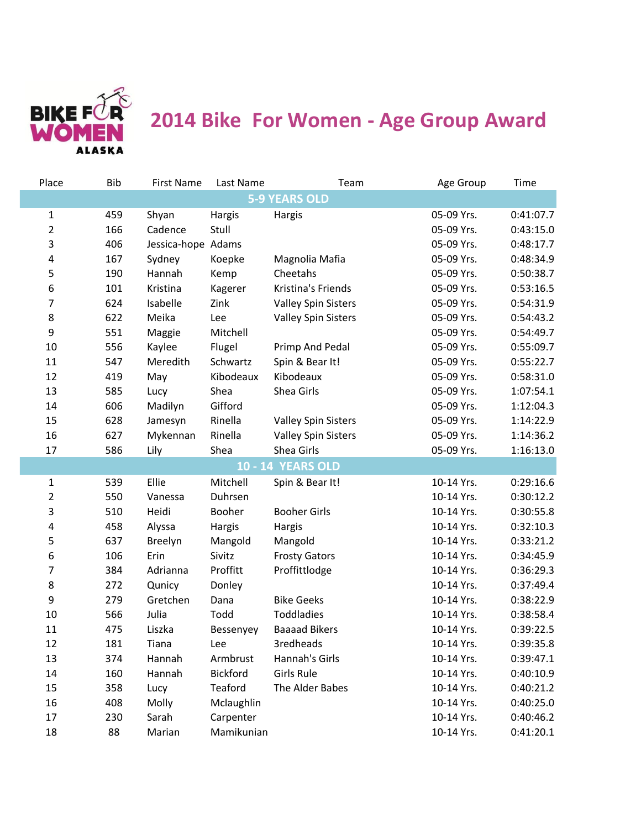

## **2014 Bike For Women - Age Group Award**

| Place          | Bib | <b>First Name</b>  | Last Name       | Team                       | Age Group  | Time      |
|----------------|-----|--------------------|-----------------|----------------------------|------------|-----------|
|                |     |                    |                 | <b>5-9 YEARS OLD</b>       |            |           |
| 1              | 459 | Shyan              | Hargis          | Hargis                     | 05-09 Yrs. | 0:41:07.7 |
| $\overline{2}$ | 166 | Cadence            | Stull           |                            | 05-09 Yrs. | 0:43:15.0 |
| $\mathbf{3}$   | 406 | Jessica-hope Adams |                 |                            | 05-09 Yrs. | 0:48:17.7 |
| $\pmb{4}$      | 167 | Sydney             | Koepke          | Magnolia Mafia             | 05-09 Yrs. | 0:48:34.9 |
| 5              | 190 | Hannah             | Kemp            | Cheetahs                   | 05-09 Yrs. | 0:50:38.7 |
| 6              | 101 | Kristina           | Kagerer         | Kristina's Friends         | 05-09 Yrs. | 0:53:16.5 |
| $\overline{7}$ | 624 | Isabelle           | Zink            | <b>Valley Spin Sisters</b> | 05-09 Yrs. | 0:54:31.9 |
| 8              | 622 | Meika              | Lee             | <b>Valley Spin Sisters</b> | 05-09 Yrs. | 0:54:43.2 |
| 9              | 551 | Maggie             | Mitchell        |                            | 05-09 Yrs. | 0:54:49.7 |
| 10             | 556 | Kaylee             | Flugel          | Primp And Pedal            | 05-09 Yrs. | 0:55:09.7 |
| 11             | 547 | Meredith           | Schwartz        | Spin & Bear It!            | 05-09 Yrs. | 0:55:22.7 |
| 12             | 419 | May                | Kibodeaux       | Kibodeaux                  | 05-09 Yrs. | 0:58:31.0 |
| 13             | 585 | Lucy               | Shea            | Shea Girls                 | 05-09 Yrs. | 1:07:54.1 |
| 14             | 606 | Madilyn            | Gifford         |                            | 05-09 Yrs. | 1:12:04.3 |
| 15             | 628 | Jamesyn            | Rinella         | <b>Valley Spin Sisters</b> | 05-09 Yrs. | 1:14:22.9 |
| 16             | 627 | Mykennan           | Rinella         | <b>Valley Spin Sisters</b> | 05-09 Yrs. | 1:14:36.2 |
| 17             | 586 | Lily               | Shea            | Shea Girls                 | 05-09 Yrs. | 1:16:13.0 |
|                |     |                    |                 | <b>10 - 14 YEARS OLD</b>   |            |           |
| $\mathbf{1}$   | 539 | Ellie              | Mitchell        | Spin & Bear It!            | 10-14 Yrs. | 0:29:16.6 |
| $\overline{2}$ | 550 | Vanessa            | Duhrsen         |                            | 10-14 Yrs. | 0:30:12.2 |
| $\overline{3}$ | 510 | Heidi              | Booher          | <b>Booher Girls</b>        | 10-14 Yrs. | 0:30:55.8 |
| 4              | 458 | Alyssa             | Hargis          | Hargis                     | 10-14 Yrs. | 0:32:10.3 |
| 5              | 637 | Breelyn            | Mangold         | Mangold                    | 10-14 Yrs. | 0:33:21.2 |
| 6              | 106 | Erin               | Sivitz          | <b>Frosty Gators</b>       | 10-14 Yrs. | 0:34:45.9 |
| 7              | 384 | Adrianna           | Proffitt        | Proffittlodge              | 10-14 Yrs. | 0:36:29.3 |
| 8              | 272 | Qunicy             | Donley          |                            | 10-14 Yrs. | 0:37:49.4 |
| 9              | 279 | Gretchen           | Dana            | <b>Bike Geeks</b>          | 10-14 Yrs. | 0:38:22.9 |
| 10             | 566 | Julia              | Todd            | Toddladies                 | 10-14 Yrs. | 0:38:58.4 |
| 11             | 475 | Liszka             | Bessenyey       | <b>Baaaad Bikers</b>       | 10-14 Yrs. | 0:39:22.5 |
| 12             | 181 | Tiana              | Lee             | 3redheads                  | 10-14 Yrs. | 0:39:35.8 |
| 13             | 374 | Hannah             | Armbrust        | Hannah's Girls             | 10-14 Yrs. | 0:39:47.1 |
| 14             | 160 | Hannah             | <b>Bickford</b> | Girls Rule                 | 10-14 Yrs. | 0:40:10.9 |
| 15             | 358 | Lucy               | Teaford         | The Alder Babes            | 10-14 Yrs. | 0:40:21.2 |
| 16             | 408 | Molly              | Mclaughlin      |                            | 10-14 Yrs. | 0:40:25.0 |
| 17             | 230 | Sarah              | Carpenter       |                            | 10-14 Yrs. | 0:40:46.2 |
| 18             | 88  | Marian             | Mamikunian      |                            | 10-14 Yrs. | 0:41:20.1 |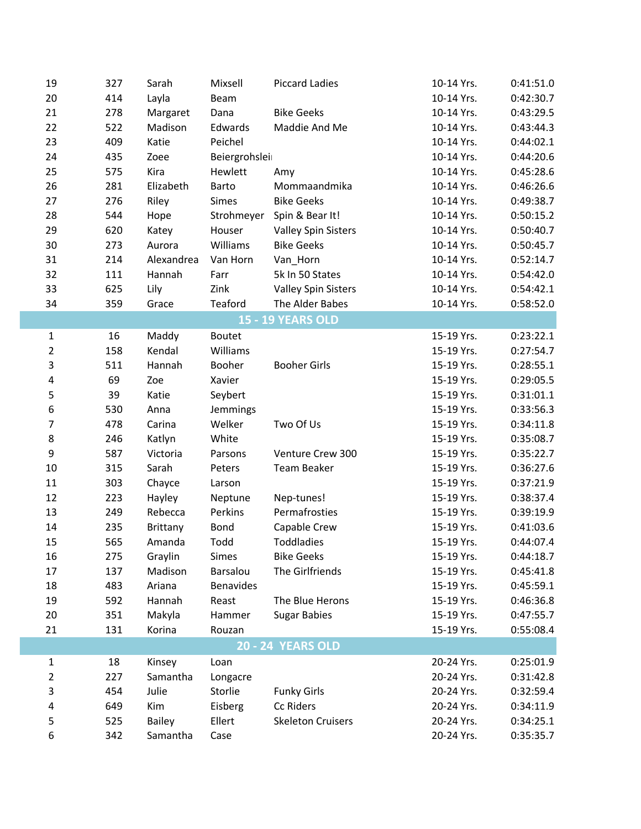| 19                      | 327 | Sarah         | Mixsell       | <b>Piccard Ladies</b>      | 10-14 Yrs. | 0:41:51.0 |
|-------------------------|-----|---------------|---------------|----------------------------|------------|-----------|
| 20                      | 414 | Layla         | Beam          |                            | 10-14 Yrs. | 0:42:30.7 |
| 21                      | 278 | Margaret      | Dana          | <b>Bike Geeks</b>          | 10-14 Yrs. | 0:43:29.5 |
| 22                      | 522 | Madison       | Edwards       | Maddie And Me              | 10-14 Yrs. | 0:43:44.3 |
| 23                      | 409 | Katie         | Peichel       |                            | 10-14 Yrs. | 0:44:02.1 |
| 24                      | 435 | Zoee          | Beiergrohslei |                            | 10-14 Yrs. | 0:44:20.6 |
| 25                      | 575 | Kira          | Hewlett       | Amy                        | 10-14 Yrs. | 0:45:28.6 |
| 26                      | 281 | Elizabeth     | Barto         | Mommaandmika               | 10-14 Yrs. | 0:46:26.6 |
| 27                      | 276 | Riley         | Simes         | <b>Bike Geeks</b>          | 10-14 Yrs. | 0:49:38.7 |
| 28                      | 544 | Hope          | Strohmeyer    | Spin & Bear It!            | 10-14 Yrs. | 0:50:15.2 |
| 29                      | 620 | Katey         | Houser        | <b>Valley Spin Sisters</b> | 10-14 Yrs. | 0:50:40.7 |
| 30                      | 273 | Aurora        | Williams      | <b>Bike Geeks</b>          | 10-14 Yrs. | 0:50:45.7 |
| 31                      | 214 | Alexandrea    | Van Horn      | Van_Horn                   | 10-14 Yrs. | 0:52:14.7 |
| 32                      | 111 | Hannah        | Farr          | 5k In 50 States            | 10-14 Yrs. | 0:54:42.0 |
| 33                      | 625 | Lily          | Zink          | <b>Valley Spin Sisters</b> | 10-14 Yrs. | 0:54:42.1 |
| 34                      | 359 | Grace         | Teaford       | The Alder Babes            | 10-14 Yrs. | 0:58:52.0 |
|                         |     |               |               | <b>15 - 19 YEARS OLD</b>   |            |           |
| $\mathbf{1}$            | 16  | Maddy         | <b>Boutet</b> |                            | 15-19 Yrs. | 0:23:22.1 |
| $\overline{2}$          | 158 | Kendal        | Williams      |                            | 15-19 Yrs. | 0:27:54.7 |
| 3                       | 511 | Hannah        | Booher        | <b>Booher Girls</b>        | 15-19 Yrs. | 0:28:55.1 |
| 4                       | 69  | Zoe           | Xavier        |                            | 15-19 Yrs. | 0:29:05.5 |
| 5                       | 39  | Katie         | Seybert       |                            | 15-19 Yrs. | 0:31:01.1 |
| 6                       | 530 | Anna          | Jemmings      |                            | 15-19 Yrs. | 0:33:56.3 |
| $\overline{7}$          | 478 | Carina        | Welker        | Two Of Us                  | 15-19 Yrs. | 0:34:11.8 |
| 8                       | 246 | Katlyn        | White         |                            | 15-19 Yrs. | 0:35:08.7 |
| 9                       | 587 | Victoria      | Parsons       | Venture Crew 300           | 15-19 Yrs. | 0:35:22.7 |
| 10                      | 315 | Sarah         | Peters        | Team Beaker                | 15-19 Yrs. | 0:36:27.6 |
| 11                      | 303 | Chayce        | Larson        |                            | 15-19 Yrs. | 0:37:21.9 |
| 12                      | 223 | Hayley        | Neptune       | Nep-tunes!                 | 15-19 Yrs. | 0:38:37.4 |
| 13                      | 249 | Rebecca       | Perkins       | Permafrosties              | 15-19 Yrs. | 0:39:19.9 |
| 14                      | 235 | Brittany      | Bond          | Capable Crew               | 15-19 Yrs. | 0:41:03.6 |
| 15                      | 565 | Amanda        | Todd          | Toddladies                 | 15-19 Yrs. | 0:44:07.4 |
| 16                      | 275 | Graylin       | Simes         | <b>Bike Geeks</b>          | 15-19 Yrs. | 0:44:18.7 |
| 17                      | 137 | Madison       | Barsalou      | The Girlfriends            | 15-19 Yrs. | 0:45:41.8 |
| 18                      | 483 | Ariana        | Benavides     |                            | 15-19 Yrs. | 0:45:59.1 |
| 19                      | 592 | Hannah        | Reast         | The Blue Herons            | 15-19 Yrs. | 0:46:36.8 |
| 20                      | 351 | Makyla        | Hammer        | <b>Sugar Babies</b>        | 15-19 Yrs. | 0:47:55.7 |
| 21                      | 131 | Korina        | Rouzan        |                            | 15-19 Yrs. | 0:55:08.4 |
|                         |     |               |               | <b>20 - 24 YEARS OLD</b>   |            |           |
| $\mathbf{1}$            | 18  | Kinsey        | Loan          |                            | 20-24 Yrs. | 0:25:01.9 |
| $\overline{\mathbf{c}}$ | 227 | Samantha      | Longacre      |                            | 20-24 Yrs. | 0:31:42.8 |
| 3                       | 454 | Julie         | Storlie       | <b>Funky Girls</b>         | 20-24 Yrs. | 0:32:59.4 |
| 4                       | 649 | Kim           | Eisberg       | Cc Riders                  | 20-24 Yrs. | 0:34:11.9 |
| 5                       | 525 | <b>Bailey</b> | Ellert        | <b>Skeleton Cruisers</b>   | 20-24 Yrs. | 0:34:25.1 |
| 6                       | 342 | Samantha      | Case          |                            | 20-24 Yrs. | 0:35:35.7 |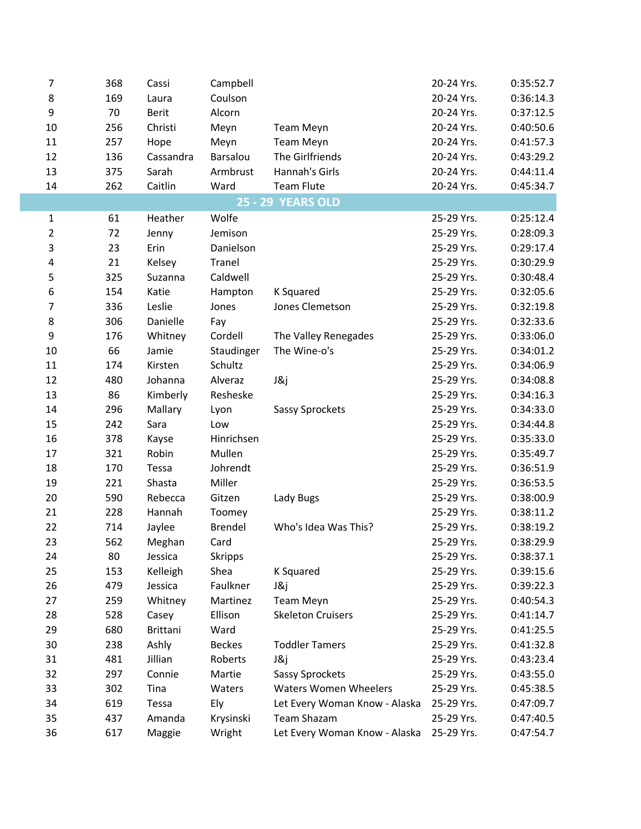| 7              | 368 | Cassi     | Campbell      |                               | 20-24 Yrs. | 0:35:52.7 |
|----------------|-----|-----------|---------------|-------------------------------|------------|-----------|
| 8              | 169 | Laura     | Coulson       |                               | 20-24 Yrs. | 0:36:14.3 |
| 9              | 70  | Berit     | Alcorn        |                               | 20-24 Yrs. | 0:37:12.5 |
| 10             | 256 | Christi   | Meyn          | <b>Team Meyn</b>              | 20-24 Yrs. | 0:40:50.6 |
| 11             | 257 | Hope      | Meyn          | <b>Team Meyn</b>              | 20-24 Yrs. | 0:41:57.3 |
| 12             | 136 | Cassandra | Barsalou      | The Girlfriends               | 20-24 Yrs. | 0:43:29.2 |
| 13             | 375 | Sarah     | Armbrust      | Hannah's Girls                | 20-24 Yrs. | 0:44:11.4 |
| 14             | 262 | Caitlin   | Ward          | <b>Team Flute</b>             | 20-24 Yrs. | 0:45:34.7 |
|                |     |           |               | <b>25 - 29 YEARS OLD</b>      |            |           |
| $\mathbf{1}$   | 61  | Heather   | Wolfe         |                               | 25-29 Yrs. | 0:25:12.4 |
| $\overline{2}$ | 72  | Jenny     | Jemison       |                               | 25-29 Yrs. | 0:28:09.3 |
| 3              | 23  | Erin      | Danielson     |                               | 25-29 Yrs. | 0:29:17.4 |
| 4              | 21  | Kelsey    | Tranel        |                               | 25-29 Yrs. | 0:30:29.9 |
| 5              | 325 | Suzanna   | Caldwell      |                               | 25-29 Yrs. | 0:30:48.4 |
| 6              | 154 | Katie     | Hampton       | K Squared                     | 25-29 Yrs. | 0:32:05.6 |
| 7              | 336 | Leslie    | Jones         | Jones Clemetson               | 25-29 Yrs. | 0:32:19.8 |
| 8              | 306 | Danielle  | Fay           |                               | 25-29 Yrs. | 0:32:33.6 |
| 9              | 176 | Whitney   | Cordell       | The Valley Renegades          | 25-29 Yrs. | 0:33:06.0 |
| 10             | 66  | Jamie     | Staudinger    | The Wine-o's                  | 25-29 Yrs. | 0:34:01.2 |
| 11             | 174 | Kirsten   | Schultz       |                               | 25-29 Yrs. | 0:34:06.9 |
| 12             | 480 | Johanna   | Alveraz       | J&j                           | 25-29 Yrs. | 0:34:08.8 |
| 13             | 86  | Kimberly  | Resheske      |                               | 25-29 Yrs. | 0:34:16.3 |
| 14             | 296 | Mallary   | Lyon          | <b>Sassy Sprockets</b>        | 25-29 Yrs. | 0:34:33.0 |
| 15             | 242 | Sara      | Low           |                               | 25-29 Yrs. | 0:34:44.8 |
| 16             | 378 | Kayse     | Hinrichsen    |                               | 25-29 Yrs. | 0:35:33.0 |
| 17             | 321 | Robin     | Mullen        |                               | 25-29 Yrs. | 0:35:49.7 |
| 18             | 170 | Tessa     | Johrendt      |                               | 25-29 Yrs. | 0:36:51.9 |
| 19             | 221 | Shasta    | Miller        |                               | 25-29 Yrs. | 0:36:53.5 |
| 20             | 590 | Rebecca   | Gitzen        | Lady Bugs                     | 25-29 Yrs. | 0:38:00.9 |
| 21             | 228 | Hannah    | Toomey        |                               | 25-29 Yrs. | 0:38:11.2 |
| 22             | 714 | Jaylee    | Brendel       | Who's Idea Was This?          | 25-29 Yrs. | 0:38:19.2 |
| 23             | 562 | Meghan    | Card          |                               | 25-29 Yrs. | 0:38:29.9 |
| 24             | 80  | Jessica   | Skripps       |                               | 25-29 Yrs. | 0:38:37.1 |
| 25             | 153 | Kelleigh  | Shea          | K Squared                     | 25-29 Yrs. | 0:39:15.6 |
| 26             | 479 | Jessica   | Faulkner      | J&j                           | 25-29 Yrs. | 0:39:22.3 |
| 27             | 259 | Whitney   | Martinez      | Team Meyn                     | 25-29 Yrs. | 0:40:54.3 |
| 28             | 528 | Casey     | Ellison       | <b>Skeleton Cruisers</b>      | 25-29 Yrs. | 0:41:14.7 |
| 29             | 680 | Brittani  | Ward          |                               | 25-29 Yrs. | 0:41:25.5 |
| 30             | 238 | Ashly     | <b>Beckes</b> | <b>Toddler Tamers</b>         | 25-29 Yrs. | 0:41:32.8 |
| 31             | 481 | Jillian   | Roberts       | J&j                           | 25-29 Yrs. | 0:43:23.4 |
| 32             | 297 | Connie    | Martie        | Sassy Sprockets               | 25-29 Yrs. | 0:43:55.0 |
| 33             | 302 | Tina      | Waters        | Waters Women Wheelers         | 25-29 Yrs. | 0:45:38.5 |
| 34             | 619 | Tessa     | Ely           | Let Every Woman Know - Alaska | 25-29 Yrs. | 0:47:09.7 |
| 35             | 437 | Amanda    | Krysinski     | Team Shazam                   | 25-29 Yrs. | 0:47:40.5 |
| 36             | 617 | Maggie    | Wright        | Let Every Woman Know - Alaska | 25-29 Yrs. | 0:47:54.7 |
|                |     |           |               |                               |            |           |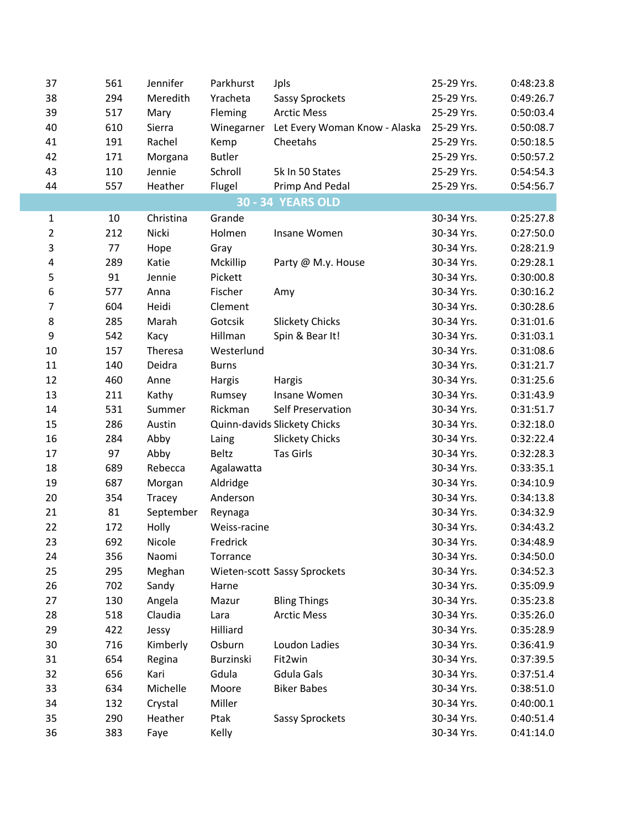| 37             | 561 | Jennifer  | Parkhurst     | Jpls                          | 25-29 Yrs. | 0:48:23.8 |
|----------------|-----|-----------|---------------|-------------------------------|------------|-----------|
| 38             | 294 | Meredith  | Yracheta      | Sassy Sprockets               | 25-29 Yrs. | 0:49:26.7 |
| 39             | 517 | Mary      | Fleming       | <b>Arctic Mess</b>            | 25-29 Yrs. | 0:50:03.4 |
| 40             | 610 | Sierra    | Winegarner    | Let Every Woman Know - Alaska | 25-29 Yrs. | 0:50:08.7 |
| 41             | 191 | Rachel    | Kemp          | Cheetahs                      | 25-29 Yrs. | 0:50:18.5 |
| 42             | 171 | Morgana   | <b>Butler</b> |                               | 25-29 Yrs. | 0:50:57.2 |
| 43             | 110 | Jennie    | Schroll       | 5k In 50 States               | 25-29 Yrs. | 0:54:54.3 |
| 44             | 557 | Heather   | Flugel        | Primp And Pedal               | 25-29 Yrs. | 0:54:56.7 |
|                |     |           |               | <b>30 - 34 YEARS OLD</b>      |            |           |
| $\mathbf{1}$   | 10  | Christina | Grande        |                               | 30-34 Yrs. | 0:25:27.8 |
| $\overline{2}$ | 212 | Nicki     | Holmen        | Insane Women                  | 30-34 Yrs. | 0:27:50.0 |
| 3              | 77  | Hope      | Gray          |                               | 30-34 Yrs. | 0:28:21.9 |
| 4              | 289 | Katie     | Mckillip      | Party @ M.y. House            | 30-34 Yrs. | 0:29:28.1 |
| 5              | 91  | Jennie    | Pickett       |                               | 30-34 Yrs. | 0:30:00.8 |
| 6              | 577 | Anna      | Fischer       | Amy                           | 30-34 Yrs. | 0:30:16.2 |
| 7              | 604 | Heidi     | Clement       |                               | 30-34 Yrs. | 0:30:28.6 |
| 8              | 285 | Marah     | Gotcsik       | <b>Slickety Chicks</b>        | 30-34 Yrs. | 0:31:01.6 |
| 9              | 542 | Kacy      | Hillman       | Spin & Bear It!               | 30-34 Yrs. | 0:31:03.1 |
| 10             | 157 | Theresa   | Westerlund    |                               | 30-34 Yrs. | 0:31:08.6 |
| 11             | 140 | Deidra    | <b>Burns</b>  |                               | 30-34 Yrs. | 0:31:21.7 |
| 12             | 460 | Anne      | Hargis        | Hargis                        | 30-34 Yrs. | 0:31:25.6 |
| 13             | 211 | Kathy     | Rumsey        | Insane Women                  | 30-34 Yrs. | 0:31:43.9 |
| 14             | 531 | Summer    | Rickman       | Self Preservation             | 30-34 Yrs. | 0:31:51.7 |
| 15             | 286 | Austin    |               | Quinn-davids Slickety Chicks  | 30-34 Yrs. | 0:32:18.0 |
| 16             | 284 | Abby      | Laing         | <b>Slickety Chicks</b>        | 30-34 Yrs. | 0:32:22.4 |
| 17             | 97  | Abby      | Beltz         | <b>Tas Girls</b>              | 30-34 Yrs. | 0:32:28.3 |
| 18             | 689 | Rebecca   | Agalawatta    |                               | 30-34 Yrs. | 0:33:35.1 |
| 19             | 687 | Morgan    | Aldridge      |                               | 30-34 Yrs. | 0:34:10.9 |
| 20             | 354 | Tracey    | Anderson      |                               | 30-34 Yrs. | 0:34:13.8 |
| 21             | 81  | September | Reynaga       |                               | 30-34 Yrs. | 0:34:32.9 |
| 22             | 172 | Holly     | Weiss-racine  |                               | 30-34 Yrs. | 0:34:43.2 |
| 23             | 692 | Nicole    | Fredrick      |                               | 30-34 Yrs. | 0:34:48.9 |
| 24             | 356 | Naomi     | Torrance      |                               | 30-34 Yrs. | 0:34:50.0 |
| 25             | 295 | Meghan    |               | Wieten-scott Sassy Sprockets  | 30-34 Yrs. | 0:34:52.3 |
| 26             | 702 | Sandy     | Harne         |                               | 30-34 Yrs. | 0:35:09.9 |
| 27             | 130 | Angela    | Mazur         | <b>Bling Things</b>           | 30-34 Yrs. | 0:35:23.8 |
| 28             | 518 | Claudia   | Lara          | <b>Arctic Mess</b>            | 30-34 Yrs. | 0:35:26.0 |
| 29             | 422 | Jessy     | Hilliard      |                               | 30-34 Yrs. | 0:35:28.9 |
| 30             | 716 | Kimberly  | Osburn        | Loudon Ladies                 | 30-34 Yrs. | 0:36:41.9 |
| 31             | 654 | Regina    | Burzinski     | Fit2win                       | 30-34 Yrs. | 0:37:39.5 |
| 32             | 656 | Kari      | Gdula         | <b>Gdula Gals</b>             | 30-34 Yrs. | 0:37:51.4 |
| 33             | 634 | Michelle  | Moore         | <b>Biker Babes</b>            | 30-34 Yrs. | 0:38:51.0 |
| 34             | 132 | Crystal   | Miller        |                               | 30-34 Yrs. | 0:40:00.1 |
| 35             | 290 | Heather   | Ptak          | Sassy Sprockets               | 30-34 Yrs. | 0:40:51.4 |
| 36             | 383 | Faye      | Kelly         |                               | 30-34 Yrs. | 0:41:14.0 |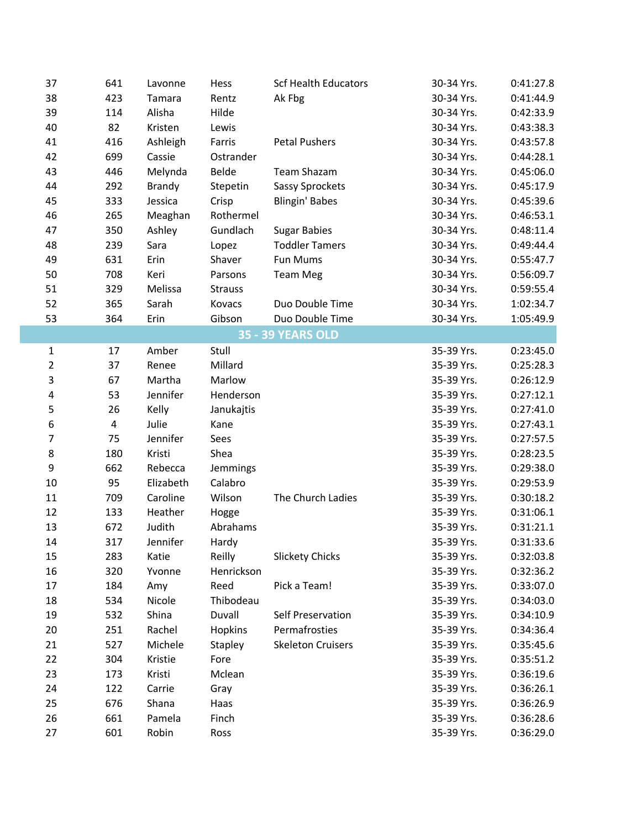| 37             | 641 | Lavonne       | Hess           | <b>Scf Health Educators</b> | 30-34 Yrs. | 0:41:27.8 |
|----------------|-----|---------------|----------------|-----------------------------|------------|-----------|
| 38             | 423 | Tamara        | Rentz          | Ak Fbg                      | 30-34 Yrs. | 0:41:44.9 |
| 39             | 114 | Alisha        | Hilde          |                             | 30-34 Yrs. | 0:42:33.9 |
| 40             | 82  | Kristen       | Lewis          |                             | 30-34 Yrs. | 0:43:38.3 |
| 41             | 416 | Ashleigh      | Farris         | <b>Petal Pushers</b>        | 30-34 Yrs. | 0:43:57.8 |
| 42             | 699 | Cassie        | Ostrander      |                             | 30-34 Yrs. | 0:44:28.1 |
| 43             | 446 | Melynda       | Belde          | <b>Team Shazam</b>          | 30-34 Yrs. | 0:45:06.0 |
| 44             | 292 | <b>Brandy</b> | Stepetin       | Sassy Sprockets             | 30-34 Yrs. | 0:45:17.9 |
| 45             | 333 | Jessica       | Crisp          | <b>Blingin' Babes</b>       | 30-34 Yrs. | 0:45:39.6 |
| 46             | 265 | Meaghan       | Rothermel      |                             | 30-34 Yrs. | 0:46:53.1 |
| 47             | 350 | Ashley        | Gundlach       | <b>Sugar Babies</b>         | 30-34 Yrs. | 0:48:11.4 |
| 48             | 239 | Sara          | Lopez          | <b>Toddler Tamers</b>       | 30-34 Yrs. | 0:49:44.4 |
| 49             | 631 | Erin          | Shaver         | Fun Mums                    | 30-34 Yrs. | 0:55:47.7 |
| 50             | 708 | Keri          | Parsons        | <b>Team Meg</b>             | 30-34 Yrs. | 0:56:09.7 |
| 51             | 329 | Melissa       | <b>Strauss</b> |                             | 30-34 Yrs. | 0:59:55.4 |
| 52             | 365 | Sarah         | Kovacs         | Duo Double Time             | 30-34 Yrs. | 1:02:34.7 |
| 53             | 364 | Erin          | Gibson         | Duo Double Time             | 30-34 Yrs. | 1:05:49.9 |
|                |     |               |                | <b>35 - 39 YEARS OLD</b>    |            |           |
| $\mathbf{1}$   | 17  | Amber         | Stull          |                             | 35-39 Yrs. | 0:23:45.0 |
| $\overline{2}$ | 37  | Renee         | Millard        |                             | 35-39 Yrs. | 0:25:28.3 |
| 3              | 67  | Martha        | Marlow         |                             | 35-39 Yrs. | 0:26:12.9 |
| 4              | 53  | Jennifer      | Henderson      |                             | 35-39 Yrs. | 0:27:12.1 |
| 5              | 26  | Kelly         | Janukajtis     |                             | 35-39 Yrs. | 0:27:41.0 |
| 6              | 4   | Julie         | Kane           |                             | 35-39 Yrs. | 0:27:43.1 |
| 7              | 75  | Jennifer      | Sees           |                             | 35-39 Yrs. | 0:27:57.5 |
| 8              | 180 | Kristi        | Shea           |                             | 35-39 Yrs. | 0:28:23.5 |
| 9              | 662 | Rebecca       | Jemmings       |                             | 35-39 Yrs. | 0:29:38.0 |
| 10             | 95  | Elizabeth     | Calabro        |                             | 35-39 Yrs. | 0:29:53.9 |
| 11             | 709 | Caroline      | Wilson         | The Church Ladies           | 35-39 Yrs. | 0:30:18.2 |
| 12             | 133 | Heather       | Hogge          |                             | 35-39 Yrs. | 0:31:06.1 |
| 13             | 672 | Judith        | Abrahams       |                             | 35-39 Yrs. | 0:31:21.1 |
| 14             | 317 | Jennifer      | Hardy          |                             | 35-39 Yrs. | 0:31:33.6 |
| 15             | 283 | Katie         | Reilly         | <b>Slickety Chicks</b>      | 35-39 Yrs. | 0:32:03.8 |
| 16             | 320 | Yvonne        | Henrickson     |                             | 35-39 Yrs. | 0:32:36.2 |
| 17             | 184 | Amy           | Reed           | Pick a Team!                | 35-39 Yrs. | 0:33:07.0 |
| 18             | 534 | Nicole        | Thibodeau      |                             | 35-39 Yrs. | 0:34:03.0 |
| 19             | 532 | Shina         | Duvall         | Self Preservation           | 35-39 Yrs. | 0:34:10.9 |
| 20             | 251 | Rachel        | Hopkins        | Permafrosties               | 35-39 Yrs. | 0:34:36.4 |
| 21             | 527 | Michele       | Stapley        | <b>Skeleton Cruisers</b>    | 35-39 Yrs. | 0:35:45.6 |
| 22             | 304 | Kristie       | Fore           |                             | 35-39 Yrs. | 0:35:51.2 |
| 23             | 173 | Kristi        | Mclean         |                             | 35-39 Yrs. | 0:36:19.6 |
| 24             | 122 | Carrie        | Gray           |                             | 35-39 Yrs. | 0:36:26.1 |
| 25             | 676 | Shana         | Haas           |                             | 35-39 Yrs. | 0:36:26.9 |
| 26             | 661 | Pamela        | Finch          |                             | 35-39 Yrs. | 0:36:28.6 |
| 27             | 601 | Robin         | Ross           |                             | 35-39 Yrs. | 0:36:29.0 |
|                |     |               |                |                             |            |           |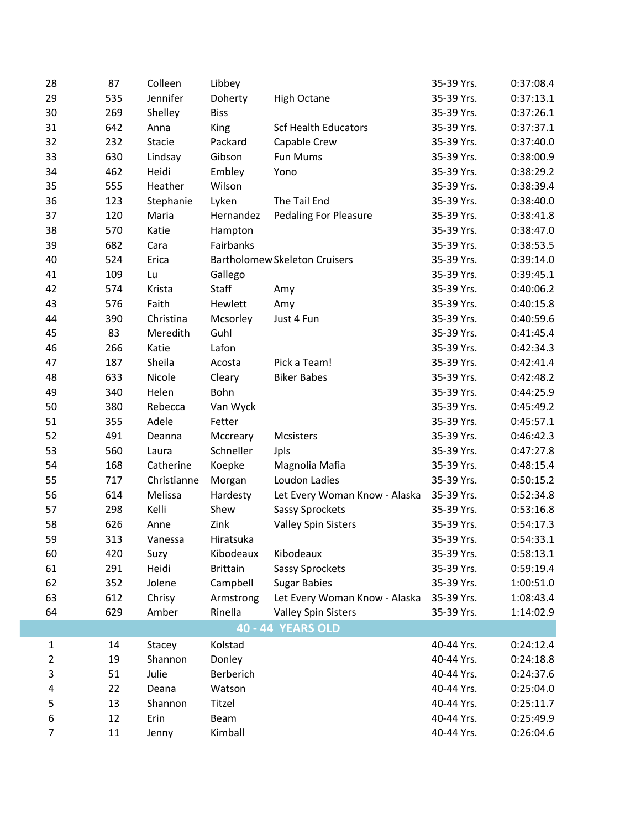| 28             | 87  | Colleen     | Libbey          |                                      | 35-39 Yrs. | 0:37:08.4 |
|----------------|-----|-------------|-----------------|--------------------------------------|------------|-----------|
| 29             | 535 | Jennifer    | Doherty         | <b>High Octane</b>                   | 35-39 Yrs. | 0:37:13.1 |
| 30             | 269 | Shelley     | <b>Biss</b>     |                                      | 35-39 Yrs. | 0:37:26.1 |
| 31             | 642 | Anna        | King            | <b>Scf Health Educators</b>          | 35-39 Yrs. | 0:37:37.1 |
| 32             | 232 | Stacie      | Packard         | Capable Crew                         | 35-39 Yrs. | 0:37:40.0 |
| 33             | 630 | Lindsay     | Gibson          | Fun Mums                             | 35-39 Yrs. | 0:38:00.9 |
| 34             | 462 | Heidi       | Embley          | Yono                                 | 35-39 Yrs. | 0:38:29.2 |
| 35             | 555 | Heather     | Wilson          |                                      | 35-39 Yrs. | 0:38:39.4 |
| 36             | 123 | Stephanie   | Lyken           | The Tail End                         | 35-39 Yrs. | 0:38:40.0 |
| 37             | 120 | Maria       | Hernandez       | <b>Pedaling For Pleasure</b>         | 35-39 Yrs. | 0:38:41.8 |
| 38             | 570 | Katie       | Hampton         |                                      | 35-39 Yrs. | 0:38:47.0 |
| 39             | 682 | Cara        | Fairbanks       |                                      | 35-39 Yrs. | 0:38:53.5 |
| 40             | 524 | Erica       |                 | <b>Bartholomew Skeleton Cruisers</b> | 35-39 Yrs. | 0:39:14.0 |
| 41             | 109 | Lu          | Gallego         |                                      | 35-39 Yrs. | 0:39:45.1 |
| 42             | 574 | Krista      | Staff           | Amy                                  | 35-39 Yrs. | 0:40:06.2 |
| 43             | 576 | Faith       | Hewlett         | Amy                                  | 35-39 Yrs. | 0:40:15.8 |
| 44             | 390 | Christina   | Mcsorley        | Just 4 Fun                           | 35-39 Yrs. | 0:40:59.6 |
| 45             | 83  | Meredith    | Guhl            |                                      | 35-39 Yrs. | 0:41:45.4 |
| 46             | 266 | Katie       | Lafon           |                                      | 35-39 Yrs. | 0:42:34.3 |
| 47             | 187 | Sheila      | Acosta          | Pick a Team!                         | 35-39 Yrs. | 0:42:41.4 |
| 48             | 633 | Nicole      | Cleary          | <b>Biker Babes</b>                   | 35-39 Yrs. | 0:42:48.2 |
| 49             | 340 | Helen       | Bohn            |                                      | 35-39 Yrs. | 0:44:25.9 |
| 50             | 380 | Rebecca     | Van Wyck        |                                      | 35-39 Yrs. | 0:45:49.2 |
| 51             | 355 | Adele       | Fetter          |                                      | 35-39 Yrs. | 0:45:57.1 |
| 52             | 491 | Deanna      | Mccreary        | Mcsisters                            | 35-39 Yrs. | 0:46:42.3 |
| 53             | 560 | Laura       | Schneller       | Jpls                                 | 35-39 Yrs. | 0:47:27.8 |
| 54             | 168 | Catherine   | Koepke          | Magnolia Mafia                       | 35-39 Yrs. | 0:48:15.4 |
| 55             | 717 | Christianne | Morgan          | Loudon Ladies                        | 35-39 Yrs. | 0:50:15.2 |
| 56             | 614 | Melissa     | Hardesty        | Let Every Woman Know - Alaska        | 35-39 Yrs. | 0:52:34.8 |
| 57             | 298 | Kelli       | Shew            | Sassy Sprockets                      | 35-39 Yrs. | 0:53:16.8 |
| 58             | 626 | Anne        | Zink            | <b>Valley Spin Sisters</b>           | 35-39 Yrs. | 0:54:17.3 |
| 59             | 313 | Vanessa     | Hiratsuka       |                                      | 35-39 Yrs. | 0:54:33.1 |
| 60             | 420 | Suzy        | Kibodeaux       | Kibodeaux                            | 35-39 Yrs. | 0:58:13.1 |
| 61             | 291 | Heidi       | <b>Brittain</b> | <b>Sassy Sprockets</b>               | 35-39 Yrs. | 0:59:19.4 |
| 62             | 352 | Jolene      | Campbell        | <b>Sugar Babies</b>                  | 35-39 Yrs. | 1:00:51.0 |
| 63             | 612 | Chrisy      | Armstrong       | Let Every Woman Know - Alaska        | 35-39 Yrs. | 1:08:43.4 |
| 64             | 629 | Amber       | Rinella         | <b>Valley Spin Sisters</b>           | 35-39 Yrs. | 1:14:02.9 |
|                |     |             |                 | <b>40 - 44 YEARS OLD</b>             |            |           |
| $\mathbf{1}$   | 14  | Stacey      | Kolstad         |                                      | 40-44 Yrs. | 0:24:12.4 |
| $\overline{2}$ | 19  | Shannon     | Donley          |                                      | 40-44 Yrs. | 0:24:18.8 |
| 3              | 51  | Julie       | Berberich       |                                      | 40-44 Yrs. | 0:24:37.6 |
| 4              | 22  | Deana       | Watson          |                                      | 40-44 Yrs. | 0:25:04.0 |
| 5              | 13  | Shannon     | Titzel          |                                      | 40-44 Yrs. | 0:25:11.7 |
| 6              | 12  | Erin        | Beam            |                                      | 40-44 Yrs. | 0:25:49.9 |
| 7              | 11  | Jenny       | Kimball         |                                      | 40-44 Yrs. | 0:26:04.6 |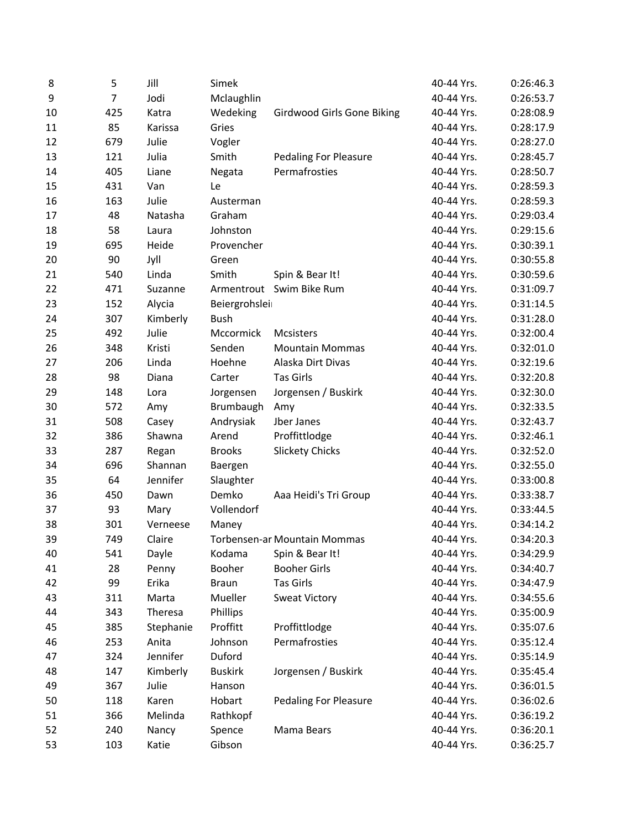| 8  | 5   | Jill      | Simek          |                              | 40-44 Yrs. | 0:26:46.3 |
|----|-----|-----------|----------------|------------------------------|------------|-----------|
| 9  | 7   | Jodi      | Mclaughlin     |                              | 40-44 Yrs. | 0:26:53.7 |
| 10 | 425 | Katra     | Wedeking       | Girdwood Girls Gone Biking   | 40-44 Yrs. | 0:28:08.9 |
| 11 | 85  | Karissa   | Gries          |                              | 40-44 Yrs. | 0:28:17.9 |
| 12 | 679 | Julie     | Vogler         |                              | 40-44 Yrs. | 0:28:27.0 |
| 13 | 121 | Julia     | Smith          | <b>Pedaling For Pleasure</b> | 40-44 Yrs. | 0:28:45.7 |
| 14 | 405 | Liane     | Negata         | Permafrosties                | 40-44 Yrs. | 0:28:50.7 |
| 15 | 431 | Van       | Le             |                              | 40-44 Yrs. | 0:28:59.3 |
| 16 | 163 | Julie     | Austerman      |                              | 40-44 Yrs. | 0:28:59.3 |
| 17 | 48  | Natasha   | Graham         |                              | 40-44 Yrs. | 0:29:03.4 |
| 18 | 58  | Laura     | Johnston       |                              | 40-44 Yrs. | 0:29:15.6 |
| 19 | 695 | Heide     | Provencher     |                              | 40-44 Yrs. | 0:30:39.1 |
| 20 | 90  | Jyll      | Green          |                              | 40-44 Yrs. | 0:30:55.8 |
| 21 | 540 | Linda     | Smith          | Spin & Bear It!              | 40-44 Yrs. | 0:30:59.6 |
| 22 | 471 | Suzanne   |                | Armentrout Swim Bike Rum     | 40-44 Yrs. | 0:31:09.7 |
| 23 | 152 | Alycia    | Beiergrohslei  |                              | 40-44 Yrs. | 0:31:14.5 |
| 24 | 307 | Kimberly  | <b>Bush</b>    |                              | 40-44 Yrs. | 0:31:28.0 |
| 25 | 492 | Julie     | Mccormick      | Mcsisters                    | 40-44 Yrs. | 0:32:00.4 |
| 26 | 348 | Kristi    | Senden         | <b>Mountain Mommas</b>       | 40-44 Yrs. | 0:32:01.0 |
| 27 | 206 | Linda     | Hoehne         | Alaska Dirt Divas            | 40-44 Yrs. | 0:32:19.6 |
| 28 | 98  | Diana     | Carter         | <b>Tas Girls</b>             | 40-44 Yrs. | 0:32:20.8 |
| 29 | 148 | Lora      | Jorgensen      | Jorgensen / Buskirk          | 40-44 Yrs. | 0:32:30.0 |
| 30 | 572 | Amy       | Brumbaugh      | Amy                          | 40-44 Yrs. | 0:32:33.5 |
| 31 | 508 | Casey     | Andrysiak      | Jber Janes                   | 40-44 Yrs. | 0:32:43.7 |
| 32 | 386 | Shawna    | Arend          | Proffittlodge                | 40-44 Yrs. | 0:32:46.1 |
| 33 | 287 | Regan     | <b>Brooks</b>  | <b>Slickety Chicks</b>       | 40-44 Yrs. | 0:32:52.0 |
| 34 | 696 | Shannan   | Baergen        |                              | 40-44 Yrs. | 0:32:55.0 |
| 35 | 64  | Jennifer  | Slaughter      |                              | 40-44 Yrs. | 0:33:00.8 |
| 36 | 450 | Dawn      | Demko          | Aaa Heidi's Tri Group        | 40-44 Yrs. | 0:33:38.7 |
| 37 | 93  | Mary      | Vollendorf     |                              | 40-44 Yrs. | 0:33:44.5 |
| 38 | 301 | Verneese  | Maney          |                              | 40-44 Yrs. | 0:34:14.2 |
| 39 | 749 | Claire    |                | Torbensen-ar Mountain Mommas | 40-44 Yrs. | 0:34:20.3 |
| 40 | 541 | Dayle     | Kodama         | Spin & Bear It!              | 40-44 Yrs. | 0:34:29.9 |
| 41 | 28  | Penny     | Booher         | <b>Booher Girls</b>          | 40-44 Yrs. | 0:34:40.7 |
| 42 | 99  | Erika     | <b>Braun</b>   | Tas Girls                    | 40-44 Yrs. | 0:34:47.9 |
| 43 | 311 | Marta     | Mueller        | <b>Sweat Victory</b>         | 40-44 Yrs. | 0:34:55.6 |
| 44 | 343 | Theresa   | Phillips       |                              | 40-44 Yrs. | 0:35:00.9 |
| 45 | 385 | Stephanie | Proffitt       | Proffittlodge                | 40-44 Yrs. | 0:35:07.6 |
| 46 | 253 | Anita     | Johnson        | Permafrosties                | 40-44 Yrs. | 0:35:12.4 |
| 47 | 324 | Jennifer  | Duford         |                              | 40-44 Yrs. | 0:35:14.9 |
| 48 | 147 | Kimberly  | <b>Buskirk</b> | Jorgensen / Buskirk          | 40-44 Yrs. | 0:35:45.4 |
| 49 | 367 | Julie     | Hanson         |                              | 40-44 Yrs. | 0:36:01.5 |
| 50 | 118 | Karen     | Hobart         | <b>Pedaling For Pleasure</b> | 40-44 Yrs. | 0:36:02.6 |
| 51 | 366 | Melinda   | Rathkopf       |                              | 40-44 Yrs. | 0:36:19.2 |
| 52 | 240 | Nancy     | Spence         | Mama Bears                   | 40-44 Yrs. | 0:36:20.1 |
| 53 | 103 | Katie     | Gibson         |                              | 40-44 Yrs. | 0:36:25.7 |
|    |     |           |                |                              |            |           |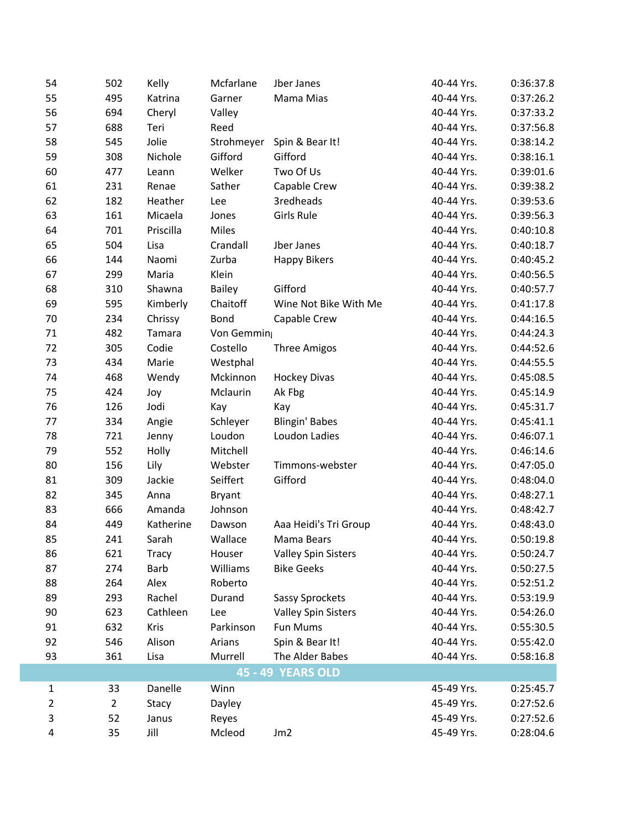| 54             | 502            | Kelly        | Mcfarlane     | Jber Janes                 | 40-44 Yrs. | 0:36:37.8 |
|----------------|----------------|--------------|---------------|----------------------------|------------|-----------|
| 55             | 495            | Katrina      | Garner        | Mama Mias                  | 40-44 Yrs. | 0:37:26.2 |
| 56             | 694            | Cheryl       | Valley        |                            | 40-44 Yrs. | 0:37:33.2 |
| 57             | 688            | Teri         | Reed          |                            | 40-44 Yrs. | 0:37:56.8 |
| 58             | 545            | Jolie        | Strohmeyer    | Spin & Bear It!            | 40-44 Yrs. | 0:38:14.2 |
| 59             | 308            | Nichole      | Gifford       | Gifford                    | 40-44 Yrs. | 0:38:16.1 |
| 60             | 477            | Leann        | Welker        | Two Of Us                  | 40-44 Yrs. | 0:39:01.6 |
| 61             | 231            | Renae        | Sather        | Capable Crew               | 40-44 Yrs. | 0:39:38.2 |
| 62             | 182            | Heather      | Lee           | 3redheads                  | 40-44 Yrs. | 0:39:53.6 |
| 63             | 161            | Micaela      | Jones         | Girls Rule                 | 40-44 Yrs. | 0:39:56.3 |
| 64             | 701            | Priscilla    | Miles         |                            | 40-44 Yrs. | 0:40:10.8 |
| 65             | 504            | Lisa         | Crandall      | Jber Janes                 | 40-44 Yrs. | 0:40:18.7 |
| 66             | 144            | Naomi        | Zurba         | <b>Happy Bikers</b>        | 40-44 Yrs. | 0:40:45.2 |
| 67             | 299            | Maria        | Klein         |                            | 40-44 Yrs. | 0:40:56.5 |
| 68             | 310            | Shawna       | Bailey        | Gifford                    | 40-44 Yrs. | 0:40:57.7 |
| 69             | 595            | Kimberly     | Chaitoff      | Wine Not Bike With Me      | 40-44 Yrs. | 0:41:17.8 |
| 70             | 234            | Chrissy      | Bond          | Capable Crew               | 40-44 Yrs. | 0:44:16.5 |
| 71             | 482            | Tamara       | Von Gemmin    |                            | 40-44 Yrs. | 0:44:24.3 |
| 72             | 305            | Codie        | Costello      | <b>Three Amigos</b>        | 40-44 Yrs. | 0:44:52.6 |
| 73             | 434            | Marie        | Westphal      |                            | 40-44 Yrs. | 0:44:55.5 |
| 74             | 468            | Wendy        | Mckinnon      | <b>Hockey Divas</b>        | 40-44 Yrs. | 0:45:08.5 |
| 75             | 424            | Joy          | Mclaurin      | Ak Fbg                     | 40-44 Yrs. | 0:45:14.9 |
| 76             | 126            | Jodi         | Kay           | Kay                        | 40-44 Yrs. | 0:45:31.7 |
| 77             | 334            | Angie        | Schleyer      | <b>Blingin' Babes</b>      | 40-44 Yrs. | 0:45:41.1 |
| 78             | 721            | Jenny        | Loudon        | Loudon Ladies              | 40-44 Yrs. | 0:46:07.1 |
| 79             | 552            | Holly        | Mitchell      |                            | 40-44 Yrs. | 0:46:14.6 |
| 80             | 156            | Lily         | Webster       | Timmons-webster            | 40-44 Yrs. | 0:47:05.0 |
| 81             | 309            | Jackie       | Seiffert      | Gifford                    | 40-44 Yrs. | 0:48:04.0 |
| 82             | 345            | Anna         | <b>Bryant</b> |                            | 40-44 Yrs. | 0:48:27.1 |
| 83             | 666            | Amanda       | Johnson       |                            | 40-44 Yrs. | 0:48:42.7 |
| 84             | 449            | Katherine    | Dawson        | Aaa Heidi's Tri Group      | 40-44 Yrs. | 0:48:43.0 |
| 85             | 241            | Sarah        | Wallace       | Mama Bears                 | 40-44 Yrs. | 0:50:19.8 |
| 86             | 621            | <b>Tracy</b> | Houser        | <b>Valley Spin Sisters</b> | 40-44 Yrs. | 0:50:24.7 |
| 87             | 274            | Barb         | Williams      | <b>Bike Geeks</b>          | 40-44 Yrs. | 0:50:27.5 |
| 88             | 264            | Alex         | Roberto       |                            | 40-44 Yrs. | 0:52:51.2 |
| 89             | 293            | Rachel       | Durand        | Sassy Sprockets            | 40-44 Yrs. | 0:53:19.9 |
| 90             | 623            | Cathleen     | Lee           | <b>Valley Spin Sisters</b> | 40-44 Yrs. | 0:54:26.0 |
| 91             | 632            | Kris         | Parkinson     | Fun Mums                   | 40-44 Yrs. | 0:55:30.5 |
| 92             | 546            | Alison       | Arians        | Spin & Bear It!            | 40-44 Yrs. | 0:55:42.0 |
| 93             | 361            | Lisa         | Murrell       | The Alder Babes            | 40-44 Yrs. | 0:58:16.8 |
|                |                |              |               | <b>45 - 49 YEARS OLD</b>   |            |           |
| $\mathbf{1}$   | 33             | Danelle      | Winn          |                            | 45-49 Yrs. | 0:25:45.7 |
| $\overline{2}$ | $\overline{2}$ | Stacy        | Dayley        |                            | 45-49 Yrs. | 0:27:52.6 |
| 3              | 52             | Janus        | Reyes         |                            | 45-49 Yrs. | 0:27:52.6 |
| 4              | 35             | Jill         | Mcleod        | Jm <sub>2</sub>            | 45-49 Yrs. | 0:28:04.6 |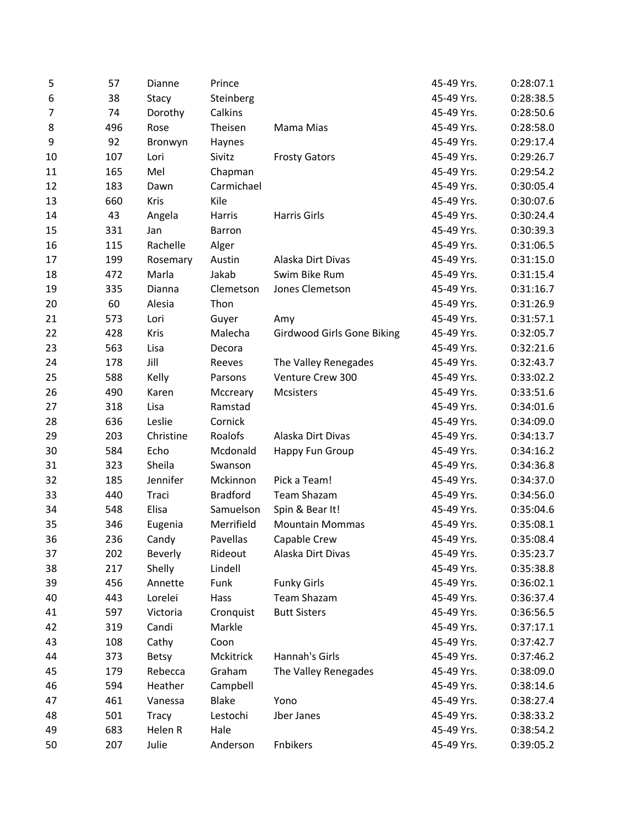| 5  | 57  | Dianne       | Prince          |                            | 45-49 Yrs. | 0:28:07.1 |
|----|-----|--------------|-----------------|----------------------------|------------|-----------|
| 6  | 38  | Stacy        | Steinberg       |                            | 45-49 Yrs. | 0:28:38.5 |
| 7  | 74  | Dorothy      | Calkins         |                            | 45-49 Yrs. | 0:28:50.6 |
| 8  | 496 | Rose         | Theisen         | Mama Mias                  | 45-49 Yrs. | 0:28:58.0 |
| 9  | 92  | Bronwyn      | Haynes          |                            | 45-49 Yrs. | 0:29:17.4 |
| 10 | 107 | Lori         | Sivitz          | <b>Frosty Gators</b>       | 45-49 Yrs. | 0:29:26.7 |
| 11 | 165 | Mel          | Chapman         |                            | 45-49 Yrs. | 0:29:54.2 |
| 12 | 183 | Dawn         | Carmichael      |                            | 45-49 Yrs. | 0:30:05.4 |
| 13 | 660 | Kris         | Kile            |                            | 45-49 Yrs. | 0:30:07.6 |
| 14 | 43  | Angela       | Harris          | Harris Girls               | 45-49 Yrs. | 0:30:24.4 |
| 15 | 331 | Jan          | Barron          |                            | 45-49 Yrs. | 0:30:39.3 |
| 16 | 115 | Rachelle     | Alger           |                            | 45-49 Yrs. | 0:31:06.5 |
| 17 | 199 | Rosemary     | Austin          | Alaska Dirt Divas          | 45-49 Yrs. | 0:31:15.0 |
| 18 | 472 | Marla        | Jakab           | Swim Bike Rum              | 45-49 Yrs. | 0:31:15.4 |
| 19 | 335 | Dianna       | Clemetson       | Jones Clemetson            | 45-49 Yrs. | 0:31:16.7 |
| 20 | 60  | Alesia       | Thon            |                            | 45-49 Yrs. | 0:31:26.9 |
| 21 | 573 | Lori         | Guyer           | Amy                        | 45-49 Yrs. | 0:31:57.1 |
| 22 | 428 | Kris         | Malecha         | Girdwood Girls Gone Biking | 45-49 Yrs. | 0:32:05.7 |
| 23 | 563 | Lisa         | Decora          |                            | 45-49 Yrs. | 0:32:21.6 |
| 24 | 178 | Jill         | Reeves          | The Valley Renegades       | 45-49 Yrs. | 0:32:43.7 |
| 25 | 588 | Kelly        | Parsons         | Venture Crew 300           | 45-49 Yrs. | 0:33:02.2 |
| 26 | 490 | Karen        | Mccreary        | Mcsisters                  | 45-49 Yrs. | 0:33:51.6 |
| 27 | 318 | Lisa         | Ramstad         |                            | 45-49 Yrs. | 0:34:01.6 |
| 28 | 636 | Leslie       | Cornick         |                            | 45-49 Yrs. | 0:34:09.0 |
| 29 | 203 | Christine    | Roalofs         | Alaska Dirt Divas          | 45-49 Yrs. | 0:34:13.7 |
| 30 | 584 | Echo         | Mcdonald        | Happy Fun Group            | 45-49 Yrs. | 0:34:16.2 |
| 31 | 323 | Sheila       | Swanson         |                            | 45-49 Yrs. | 0:34:36.8 |
| 32 | 185 | Jennifer     | Mckinnon        | Pick a Team!               | 45-49 Yrs. | 0:34:37.0 |
| 33 | 440 | Traci        | <b>Bradford</b> | <b>Team Shazam</b>         | 45-49 Yrs. | 0:34:56.0 |
| 34 | 548 | Elisa        | Samuelson       | Spin & Bear It!            | 45-49 Yrs. | 0:35:04.6 |
| 35 | 346 | Eugenia      | Merrifield      | <b>Mountain Mommas</b>     | 45-49 Yrs. | 0:35:08.1 |
| 36 | 236 | Candy        | Pavellas        | Capable Crew               | 45-49 Yrs. | 0:35:08.4 |
| 37 | 202 | Beverly      | Rideout         | Alaska Dirt Divas          | 45-49 Yrs. | 0:35:23.7 |
| 38 | 217 | Shelly       | Lindell         |                            | 45-49 Yrs. | 0:35:38.8 |
| 39 | 456 | Annette      | Funk            | <b>Funky Girls</b>         | 45-49 Yrs. | 0:36:02.1 |
| 40 | 443 | Lorelei      | Hass            | Team Shazam                | 45-49 Yrs. | 0:36:37.4 |
| 41 | 597 | Victoria     | Cronquist       | <b>Butt Sisters</b>        | 45-49 Yrs. | 0:36:56.5 |
| 42 | 319 | Candi        | Markle          |                            | 45-49 Yrs. | 0:37:17.1 |
| 43 | 108 | Cathy        | Coon            |                            | 45-49 Yrs. | 0:37:42.7 |
| 44 | 373 | <b>Betsy</b> | Mckitrick       | Hannah's Girls             | 45-49 Yrs. | 0:37:46.2 |
| 45 | 179 | Rebecca      | Graham          | The Valley Renegades       | 45-49 Yrs. | 0:38:09.0 |
| 46 | 594 | Heather      | Campbell        |                            | 45-49 Yrs. | 0:38:14.6 |
| 47 | 461 | Vanessa      | <b>Blake</b>    | Yono                       | 45-49 Yrs. | 0:38:27.4 |
| 48 | 501 | <b>Tracy</b> | Lestochi        | Jber Janes                 | 45-49 Yrs. | 0:38:33.2 |
| 49 | 683 | Helen R      | Hale            |                            | 45-49 Yrs. | 0:38:54.2 |
| 50 | 207 | Julie        | Anderson        | Fnbikers                   | 45-49 Yrs. | 0:39:05.2 |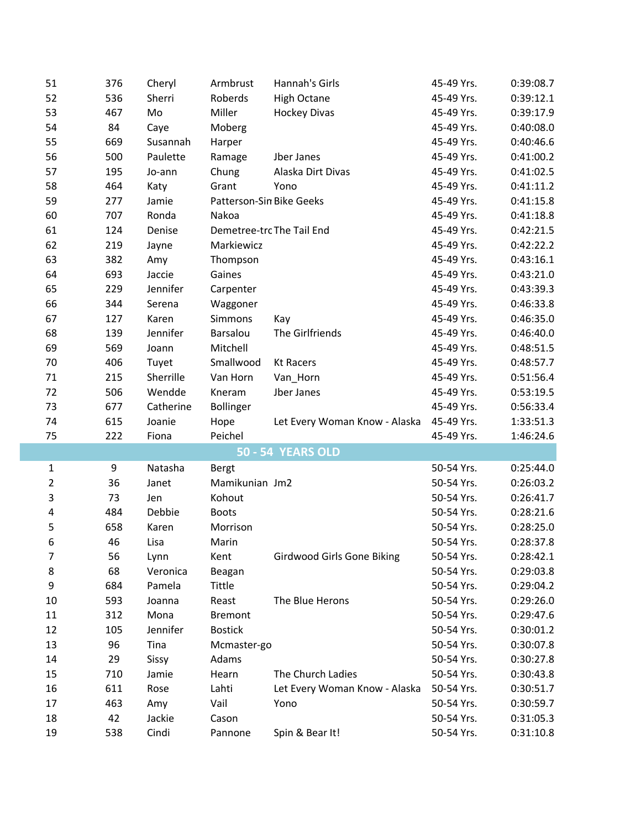| 51             | 376 | Cheryl    | Armbrust                 | Hannah's Girls                | 45-49 Yrs. | 0:39:08.7 |
|----------------|-----|-----------|--------------------------|-------------------------------|------------|-----------|
| 52             | 536 | Sherri    | Roberds                  | <b>High Octane</b>            | 45-49 Yrs. | 0:39:12.1 |
| 53             | 467 | Mo        | Miller                   | <b>Hockey Divas</b>           | 45-49 Yrs. | 0:39:17.9 |
| 54             | 84  | Caye      | Moberg                   |                               | 45-49 Yrs. | 0:40:08.0 |
| 55             | 669 | Susannah  | Harper                   |                               | 45-49 Yrs. | 0:40:46.6 |
| 56             | 500 | Paulette  | Ramage                   | Jber Janes                    | 45-49 Yrs. | 0:41:00.2 |
| 57             | 195 | Jo-ann    | Chung                    | Alaska Dirt Divas             | 45-49 Yrs. | 0:41:02.5 |
| 58             | 464 | Katy      | Grant                    | Yono                          | 45-49 Yrs. | 0:41:11.2 |
| 59             | 277 | Jamie     | Patterson-Sin Bike Geeks |                               | 45-49 Yrs. | 0:41:15.8 |
| 60             | 707 | Ronda     | Nakoa                    |                               | 45-49 Yrs. | 0:41:18.8 |
| 61             | 124 | Denise    |                          | Demetree-trc The Tail End     | 45-49 Yrs. | 0:42:21.5 |
| 62             | 219 | Jayne     | Markiewicz               |                               | 45-49 Yrs. | 0:42:22.2 |
| 63             | 382 | Amy       | Thompson                 |                               | 45-49 Yrs. | 0:43:16.1 |
| 64             | 693 | Jaccie    | Gaines                   |                               | 45-49 Yrs. | 0:43:21.0 |
| 65             | 229 | Jennifer  | Carpenter                |                               | 45-49 Yrs. | 0:43:39.3 |
| 66             | 344 | Serena    | Waggoner                 |                               | 45-49 Yrs. | 0:46:33.8 |
| 67             | 127 | Karen     | Simmons                  | Kay                           | 45-49 Yrs. | 0:46:35.0 |
| 68             | 139 | Jennifer  | Barsalou                 | The Girlfriends               | 45-49 Yrs. | 0:46:40.0 |
| 69             | 569 | Joann     | Mitchell                 |                               | 45-49 Yrs. | 0:48:51.5 |
| 70             | 406 | Tuyet     | Smallwood                | <b>Kt Racers</b>              | 45-49 Yrs. | 0:48:57.7 |
| 71             | 215 | Sherrille | Van Horn                 | Van_Horn                      | 45-49 Yrs. | 0:51:56.4 |
| 72             | 506 | Wendde    | Kneram                   | Jber Janes                    | 45-49 Yrs. | 0:53:19.5 |
| 73             | 677 | Catherine | <b>Bollinger</b>         |                               | 45-49 Yrs. | 0:56:33.4 |
| 74             | 615 | Joanie    | Hope                     | Let Every Woman Know - Alaska | 45-49 Yrs. | 1:33:51.3 |
| 75             | 222 | Fiona     | Peichel                  |                               | 45-49 Yrs. | 1:46:24.6 |
|                |     |           |                          | <b>50 - 54 YEARS OLD</b>      |            |           |
| $\mathbf{1}$   | 9   | Natasha   | <b>Bergt</b>             |                               | 50-54 Yrs. | 0:25:44.0 |
| $\overline{2}$ | 36  | Janet     | Mamikunian Jm2           |                               | 50-54 Yrs. | 0:26:03.2 |
| 3              | 73  | Jen       | Kohout                   |                               | 50-54 Yrs. | 0:26:41.7 |
| 4              | 484 | Debbie    | <b>Boots</b>             |                               | 50-54 Yrs. | 0:28:21.6 |
| 5              | 658 | Karen     | Morrison                 |                               | 50-54 Yrs. | 0:28:25.0 |
| 6              | 46  | Lisa      | Marin                    |                               | 50-54 Yrs. | 0:28:37.8 |
| 7              | 56  | Lynn      | Kent                     | Girdwood Girls Gone Biking    | 50-54 Yrs. | 0:28:42.1 |
| 8              | 68  | Veronica  | Beagan                   |                               | 50-54 Yrs. | 0:29:03.8 |
| 9              | 684 | Pamela    | Tittle                   |                               | 50-54 Yrs. | 0:29:04.2 |
| 10             | 593 | Joanna    | Reast                    | The Blue Herons               | 50-54 Yrs. | 0:29:26.0 |
| 11             | 312 | Mona      | <b>Bremont</b>           |                               | 50-54 Yrs. | 0:29:47.6 |
| 12             | 105 | Jennifer  | <b>Bostick</b>           |                               | 50-54 Yrs. | 0:30:01.2 |
| 13             | 96  | Tina      | Mcmaster-go              |                               | 50-54 Yrs. | 0:30:07.8 |
| 14             | 29  | Sissy     | Adams                    |                               | 50-54 Yrs. | 0:30:27.8 |
| 15             | 710 | Jamie     | Hearn                    | The Church Ladies             | 50-54 Yrs. | 0:30:43.8 |
| 16             | 611 | Rose      | Lahti                    | Let Every Woman Know - Alaska | 50-54 Yrs. | 0:30:51.7 |
| 17             | 463 | Amy       | Vail                     | Yono                          | 50-54 Yrs. | 0:30:59.7 |
| 18             | 42  | Jackie    | Cason                    |                               | 50-54 Yrs. | 0:31:05.3 |
| 19             | 538 | Cindi     | Pannone                  | Spin & Bear It!               | 50-54 Yrs. | 0:31:10.8 |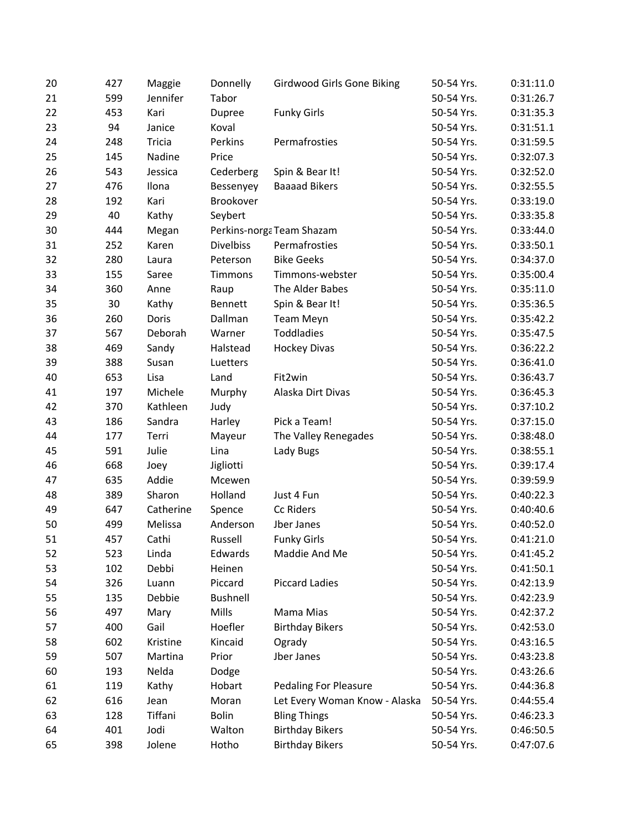| 20 | 427 | Maggie    | Donnelly         | <b>Girdwood Girls Gone Biking</b> | 50-54 Yrs. | 0:31:11.0 |
|----|-----|-----------|------------------|-----------------------------------|------------|-----------|
| 21 | 599 | Jennifer  | Tabor            |                                   | 50-54 Yrs. | 0:31:26.7 |
| 22 | 453 | Kari      | Dupree           | <b>Funky Girls</b>                | 50-54 Yrs. | 0:31:35.3 |
| 23 | 94  | Janice    | Koval            |                                   | 50-54 Yrs. | 0:31:51.1 |
| 24 | 248 | Tricia    | Perkins          | Permafrosties                     | 50-54 Yrs. | 0:31:59.5 |
| 25 | 145 | Nadine    | Price            |                                   | 50-54 Yrs. | 0:32:07.3 |
| 26 | 543 | Jessica   | Cederberg        | Spin & Bear It!                   | 50-54 Yrs. | 0:32:52.0 |
| 27 | 476 | Ilona     | Bessenyey        | <b>Baaaad Bikers</b>              | 50-54 Yrs. | 0:32:55.5 |
| 28 | 192 | Kari      | Brookover        |                                   | 50-54 Yrs. | 0:33:19.0 |
| 29 | 40  | Kathy     | Seybert          |                                   | 50-54 Yrs. | 0:33:35.8 |
| 30 | 444 | Megan     |                  | Perkins-norga Team Shazam         | 50-54 Yrs. | 0:33:44.0 |
| 31 | 252 | Karen     | <b>Divelbiss</b> | Permafrosties                     | 50-54 Yrs. | 0:33:50.1 |
| 32 | 280 | Laura     | Peterson         | <b>Bike Geeks</b>                 | 50-54 Yrs. | 0:34:37.0 |
| 33 | 155 | Saree     | <b>Timmons</b>   | Timmons-webster                   | 50-54 Yrs. | 0:35:00.4 |
| 34 | 360 | Anne      | Raup             | The Alder Babes                   | 50-54 Yrs. | 0:35:11.0 |
| 35 | 30  | Kathy     | Bennett          | Spin & Bear It!                   | 50-54 Yrs. | 0:35:36.5 |
| 36 | 260 | Doris     | Dallman          | <b>Team Meyn</b>                  | 50-54 Yrs. | 0:35:42.2 |
| 37 | 567 | Deborah   | Warner           | Toddladies                        | 50-54 Yrs. | 0:35:47.5 |
| 38 | 469 | Sandy     | Halstead         | <b>Hockey Divas</b>               | 50-54 Yrs. | 0:36:22.2 |
| 39 | 388 | Susan     | Luetters         |                                   | 50-54 Yrs. | 0:36:41.0 |
| 40 | 653 | Lisa      | Land             | Fit2win                           | 50-54 Yrs. | 0:36:43.7 |
| 41 | 197 | Michele   | Murphy           | Alaska Dirt Divas                 | 50-54 Yrs. | 0:36:45.3 |
| 42 | 370 | Kathleen  | Judy             |                                   | 50-54 Yrs. | 0:37:10.2 |
| 43 | 186 | Sandra    | Harley           | Pick a Team!                      | 50-54 Yrs. | 0:37:15.0 |
| 44 | 177 | Terri     | Mayeur           | The Valley Renegades              | 50-54 Yrs. | 0:38:48.0 |
| 45 | 591 | Julie     | Lina             | Lady Bugs                         | 50-54 Yrs. | 0:38:55.1 |
| 46 | 668 | Joey      | Jigliotti        |                                   | 50-54 Yrs. | 0:39:17.4 |
| 47 | 635 | Addie     | Mcewen           |                                   | 50-54 Yrs. | 0:39:59.9 |
| 48 | 389 | Sharon    | Holland          | Just 4 Fun                        | 50-54 Yrs. | 0:40:22.3 |
| 49 | 647 | Catherine | Spence           | Cc Riders                         | 50-54 Yrs. | 0:40:40.6 |
| 50 | 499 | Melissa   | Anderson         | Jber Janes                        | 50-54 Yrs. | 0:40:52.0 |
| 51 | 457 | Cathi     | Russell          | <b>Funky Girls</b>                | 50-54 Yrs. | 0:41:21.0 |
| 52 | 523 | Linda     | Edwards          | Maddie And Me                     | 50-54 Yrs. | 0:41:45.2 |
| 53 | 102 | Debbi     | Heinen           |                                   | 50-54 Yrs. | 0:41:50.1 |
| 54 | 326 | Luann     | Piccard          | <b>Piccard Ladies</b>             | 50-54 Yrs. | 0:42:13.9 |
| 55 | 135 | Debbie    | <b>Bushnell</b>  |                                   | 50-54 Yrs. | 0:42:23.9 |
| 56 | 497 | Mary      | Mills            | Mama Mias                         | 50-54 Yrs. | 0:42:37.2 |
| 57 | 400 | Gail      | Hoefler          | <b>Birthday Bikers</b>            | 50-54 Yrs. | 0:42:53.0 |
| 58 | 602 | Kristine  | Kincaid          | Ogrady                            | 50-54 Yrs. | 0:43:16.5 |
| 59 | 507 | Martina   | Prior            | Jber Janes                        | 50-54 Yrs. | 0:43:23.8 |
| 60 | 193 | Nelda     | Dodge            |                                   | 50-54 Yrs. | 0:43:26.6 |
| 61 | 119 | Kathy     | Hobart           | <b>Pedaling For Pleasure</b>      | 50-54 Yrs. | 0:44:36.8 |
| 62 | 616 | Jean      | Moran            | Let Every Woman Know - Alaska     | 50-54 Yrs. | 0:44:55.4 |
| 63 | 128 | Tiffani   | <b>Bolin</b>     | <b>Bling Things</b>               | 50-54 Yrs. | 0:46:23.3 |
| 64 | 401 | Jodi      | Walton           | <b>Birthday Bikers</b>            | 50-54 Yrs. | 0:46:50.5 |
| 65 | 398 | Jolene    | Hotho            | <b>Birthday Bikers</b>            | 50-54 Yrs. | 0:47:07.6 |
|    |     |           |                  |                                   |            |           |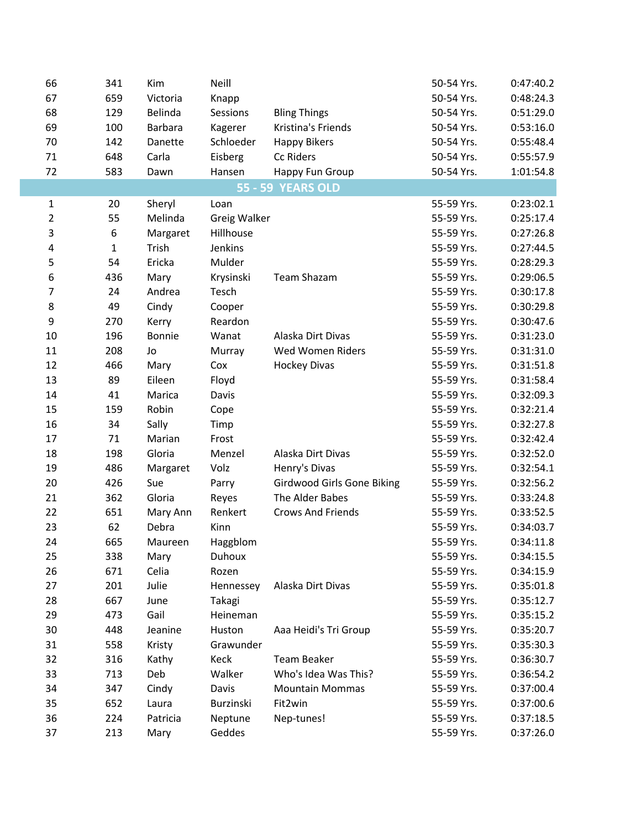| 66             | 341 | Kim            | Neill        |                                   | 50-54 Yrs. | 0:47:40.2 |
|----------------|-----|----------------|--------------|-----------------------------------|------------|-----------|
| 67             | 659 | Victoria       | Knapp        |                                   | 50-54 Yrs. | 0:48:24.3 |
| 68             | 129 | Belinda        | Sessions     | <b>Bling Things</b>               | 50-54 Yrs. | 0:51:29.0 |
| 69             | 100 | <b>Barbara</b> | Kagerer      | Kristina's Friends                | 50-54 Yrs. | 0:53:16.0 |
| 70             | 142 | Danette        | Schloeder    | <b>Happy Bikers</b>               | 50-54 Yrs. | 0:55:48.4 |
| 71             | 648 | Carla          | Eisberg      | Cc Riders                         | 50-54 Yrs. | 0:55:57.9 |
| 72             | 583 | Dawn           | Hansen       | Happy Fun Group                   | 50-54 Yrs. | 1:01:54.8 |
|                |     |                |              | <b>55 - 59 YEARS OLD</b>          |            |           |
| $\mathbf{1}$   | 20  | Sheryl         | Loan         |                                   | 55-59 Yrs. | 0:23:02.1 |
| $\overline{2}$ | 55  | Melinda        | Greig Walker |                                   | 55-59 Yrs. | 0:25:17.4 |
| 3              | 6   | Margaret       | Hillhouse    |                                   | 55-59 Yrs. | 0:27:26.8 |
| 4              | 1   | Trish          | Jenkins      |                                   | 55-59 Yrs. | 0:27:44.5 |
| 5              | 54  | Ericka         | Mulder       |                                   | 55-59 Yrs. | 0:28:29.3 |
| 6              | 436 | Mary           | Krysinski    | <b>Team Shazam</b>                | 55-59 Yrs. | 0:29:06.5 |
| $\overline{7}$ | 24  | Andrea         | Tesch        |                                   | 55-59 Yrs. | 0:30:17.8 |
| 8              | 49  | Cindy          | Cooper       |                                   | 55-59 Yrs. | 0:30:29.8 |
| 9              | 270 | Kerry          | Reardon      |                                   | 55-59 Yrs. | 0:30:47.6 |
| 10             | 196 | Bonnie         | Wanat        | Alaska Dirt Divas                 | 55-59 Yrs. | 0:31:23.0 |
| 11             | 208 | Jo             | Murray       | Wed Women Riders                  | 55-59 Yrs. | 0:31:31.0 |
| 12             | 466 | Mary           | Cox          | <b>Hockey Divas</b>               | 55-59 Yrs. | 0:31:51.8 |
| 13             | 89  | Eileen         | Floyd        |                                   | 55-59 Yrs. | 0:31:58.4 |
| 14             | 41  | Marica         | Davis        |                                   | 55-59 Yrs. | 0:32:09.3 |
| 15             | 159 | Robin          | Cope         |                                   | 55-59 Yrs. | 0:32:21.4 |
| 16             | 34  | Sally          | Timp         |                                   | 55-59 Yrs. | 0:32:27.8 |
| 17             | 71  | Marian         | Frost        |                                   | 55-59 Yrs. | 0:32:42.4 |
| 18             | 198 | Gloria         | Menzel       | Alaska Dirt Divas                 | 55-59 Yrs. | 0:32:52.0 |
| 19             | 486 | Margaret       | Volz         | Henry's Divas                     | 55-59 Yrs. | 0:32:54.1 |
| 20             | 426 | Sue            | Parry        | <b>Girdwood Girls Gone Biking</b> | 55-59 Yrs. | 0:32:56.2 |
| 21             | 362 | Gloria         | Reyes        | The Alder Babes                   | 55-59 Yrs. | 0:33:24.8 |
| 22             | 651 | Mary Ann       | Renkert      | <b>Crows And Friends</b>          | 55-59 Yrs. | 0:33:52.5 |
| 23             | 62  | Debra          | Kinn         |                                   | 55-59 Yrs. | 0:34:03.7 |
| 24             | 665 | Maureen        | Haggblom     |                                   | 55-59 Yrs. | 0:34:11.8 |
| 25             | 338 | Mary           | Duhoux       |                                   | 55-59 Yrs. | 0:34:15.5 |
| 26             | 671 | Celia          | Rozen        |                                   | 55-59 Yrs. | 0:34:15.9 |
| 27             | 201 | Julie          | Hennessey    | Alaska Dirt Divas                 | 55-59 Yrs. | 0:35:01.8 |
| 28             | 667 | June           | Takagi       |                                   | 55-59 Yrs. | 0:35:12.7 |
| 29             | 473 | Gail           | Heineman     |                                   | 55-59 Yrs. | 0:35:15.2 |
| 30             | 448 | Jeanine        | Huston       | Aaa Heidi's Tri Group             | 55-59 Yrs. | 0:35:20.7 |
| 31             | 558 | Kristy         | Grawunder    |                                   | 55-59 Yrs. | 0:35:30.3 |
| 32             | 316 | Kathy          | Keck         | <b>Team Beaker</b>                | 55-59 Yrs. | 0:36:30.7 |
| 33             | 713 | Deb            | Walker       | Who's Idea Was This?              | 55-59 Yrs. | 0:36:54.2 |
| 34             | 347 | Cindy          | Davis        | <b>Mountain Mommas</b>            | 55-59 Yrs. | 0:37:00.4 |
| 35             | 652 | Laura          | Burzinski    | Fit2win                           | 55-59 Yrs. | 0:37:00.6 |
| 36             | 224 | Patricia       | Neptune      | Nep-tunes!                        | 55-59 Yrs. | 0:37:18.5 |
| 37             | 213 | Mary           | Geddes       |                                   | 55-59 Yrs. | 0:37:26.0 |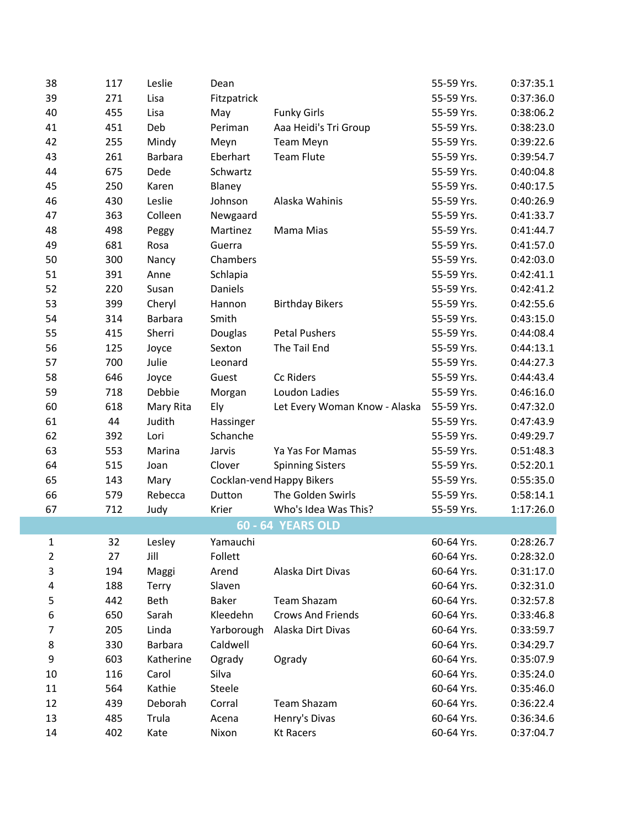| 38             | 117 | Leslie         | Dean        |                               | 55-59 Yrs. | 0:37:35.1 |
|----------------|-----|----------------|-------------|-------------------------------|------------|-----------|
| 39             | 271 | Lisa           | Fitzpatrick |                               | 55-59 Yrs. | 0:37:36.0 |
| 40             | 455 | Lisa           | May         | <b>Funky Girls</b>            | 55-59 Yrs. | 0:38:06.2 |
| 41             | 451 | Deb            | Periman     | Aaa Heidi's Tri Group         | 55-59 Yrs. | 0:38:23.0 |
| 42             | 255 | Mindy          | Meyn        | <b>Team Meyn</b>              | 55-59 Yrs. | 0:39:22.6 |
| 43             | 261 | <b>Barbara</b> | Eberhart    | <b>Team Flute</b>             | 55-59 Yrs. | 0:39:54.7 |
| 44             | 675 | Dede           | Schwartz    |                               | 55-59 Yrs. | 0:40:04.8 |
| 45             | 250 | Karen          | Blaney      |                               | 55-59 Yrs. | 0:40:17.5 |
| 46             | 430 | Leslie         | Johnson     | Alaska Wahinis                | 55-59 Yrs. | 0:40:26.9 |
| 47             | 363 | Colleen        | Newgaard    |                               | 55-59 Yrs. | 0:41:33.7 |
| 48             | 498 | Peggy          | Martinez    | Mama Mias                     | 55-59 Yrs. | 0:41:44.7 |
| 49             | 681 | Rosa           | Guerra      |                               | 55-59 Yrs. | 0:41:57.0 |
| 50             | 300 | Nancy          | Chambers    |                               | 55-59 Yrs. | 0:42:03.0 |
| 51             | 391 | Anne           | Schlapia    |                               | 55-59 Yrs. | 0:42:41.1 |
| 52             | 220 | Susan          | Daniels     |                               | 55-59 Yrs. | 0:42:41.2 |
| 53             | 399 | Cheryl         | Hannon      | <b>Birthday Bikers</b>        | 55-59 Yrs. | 0:42:55.6 |
| 54             | 314 | <b>Barbara</b> | Smith       |                               | 55-59 Yrs. | 0:43:15.0 |
| 55             | 415 | Sherri         | Douglas     | <b>Petal Pushers</b>          | 55-59 Yrs. | 0:44:08.4 |
| 56             | 125 | Joyce          | Sexton      | The Tail End                  | 55-59 Yrs. | 0:44:13.1 |
| 57             | 700 | Julie          | Leonard     |                               | 55-59 Yrs. | 0:44:27.3 |
| 58             | 646 | Joyce          | Guest       | Cc Riders                     | 55-59 Yrs. | 0:44:43.4 |
| 59             | 718 | Debbie         | Morgan      | Loudon Ladies                 | 55-59 Yrs. | 0:46:16.0 |
| 60             | 618 | Mary Rita      | Ely         | Let Every Woman Know - Alaska | 55-59 Yrs. | 0:47:32.0 |
| 61             | 44  | Judith         | Hassinger   |                               | 55-59 Yrs. | 0:47:43.9 |
| 62             | 392 | Lori           | Schanche    |                               | 55-59 Yrs. | 0:49:29.7 |
| 63             | 553 | Marina         | Jarvis      | Ya Yas For Mamas              | 55-59 Yrs. | 0:51:48.3 |
| 64             | 515 | Joan           | Clover      | <b>Spinning Sisters</b>       | 55-59 Yrs. | 0:52:20.1 |
| 65             | 143 | Mary           |             | Cocklan-vend Happy Bikers     | 55-59 Yrs. | 0:55:35.0 |
| 66             | 579 | Rebecca        | Dutton      | The Golden Swirls             | 55-59 Yrs. | 0:58:14.1 |
| 67             | 712 | Judy           | Krier       | Who's Idea Was This?          | 55-59 Yrs. | 1:17:26.0 |
|                |     |                |             | <b>60 - 64 YEARS OLD</b>      |            |           |
| 1              | 32  | Lesley         | Yamauchi    |                               | 60-64 Yrs. | 0:28:26.7 |
| $\overline{2}$ | 27  | Jill           | Follett     |                               | 60-64 Yrs. | 0:28:32.0 |
| 3              | 194 | Maggi          | Arend       | Alaska Dirt Divas             | 60-64 Yrs. | 0:31:17.0 |
| 4              | 188 | Terry          | Slaven      |                               | 60-64 Yrs. | 0:32:31.0 |
| 5              | 442 | Beth           | Baker       | <b>Team Shazam</b>            | 60-64 Yrs. | 0:32:57.8 |
| 6              | 650 | Sarah          | Kleedehn    | <b>Crows And Friends</b>      | 60-64 Yrs. | 0:33:46.8 |
| $\overline{7}$ | 205 | Linda          | Yarborough  | Alaska Dirt Divas             | 60-64 Yrs. | 0:33:59.7 |
| 8              | 330 | <b>Barbara</b> | Caldwell    |                               | 60-64 Yrs. | 0:34:29.7 |
| 9              | 603 | Katherine      | Ogrady      | Ogrady                        | 60-64 Yrs. | 0:35:07.9 |
| 10             | 116 | Carol          | Silva       |                               | 60-64 Yrs. | 0:35:24.0 |
| 11             | 564 | Kathie         | Steele      |                               | 60-64 Yrs. | 0:35:46.0 |
| 12             | 439 | Deborah        | Corral      | Team Shazam                   | 60-64 Yrs. | 0:36:22.4 |
| 13             | 485 | Trula          | Acena       | Henry's Divas                 | 60-64 Yrs. | 0:36:34.6 |
| 14             | 402 | Kate           | Nixon       | <b>Kt Racers</b>              | 60-64 Yrs. | 0:37:04.7 |